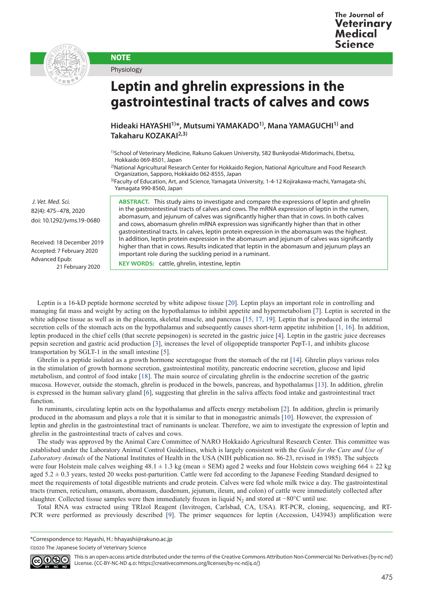



**NOTE** Physiology

## **Leptin and ghrelin expressions in the gastrointestinal tracts of calves and cows**

**Hideaki HAYASHI1)\*, Mutsumi YAMAKADO1), Mana YAMAGUCHI1) and Takaharu KOZAKAI2,3)**

1)School of Veterinary Medicine, Rakuno Gakuen University, 582 Bunkyodai-Midorimachi, Ebetsu, Hokkaido 069-8501, Japan

2)National Agricultural Research Center for Hokkaido Region, National Agriculture and Food Research Organization, Sapporo, Hokkaido 062-8555, Japan

3)Faculty of Education, Art, and Science, Yamagata University, 1-4-12 Kojirakawa-machi, Yamagata-shi, Yamagata 990-8560, Japan

 *J. Vet. Med. Sci.*  82(4): 475–478, 2020 doi: 10.1292/jvms.19-0680

Received: 18 December 2019 Accepted: 7 February 2020 Advanced Epub: 21 February 2020

**ABSTRACT.** This study aims to investigate and compare the expressions of leptin and ghrelin in the gastrointestinal tracts of calves and cows. The mRNA expression of leptin in the rumen, abomasum, and jejunum of calves was significantly higher than that in cows. In both calves and cows, abomasum ghrelin mRNA expression was significantly higher than that in other gastrointestinal tracts. In calves, leptin protein expression in the abomasum was the highest. In addition, leptin protein expression in the abomasum and jejunum of calves was significantly higher than that in cows. Results indicated that leptin in the abomasum and jejunum plays an important role during the suckling period in a ruminant.

**KEY WORDS:** cattle, ghrelin, intestine, leptin

Leptin is a 16-kD peptide hormone secreted by white adipose tissue [[20](#page-3-0)]. Leptin plays an important role in controlling and managing fat mass and weight by acting on the hypothalamus to inhibit appetite and hypermetabolism [\[7\]](#page-3-1). Leptin is secreted in the white adipose tissue as well as in the placenta, skeletal muscle, and pancreas [[15, 17, 19\]](#page-3-2). Leptin that is produced in the internal secretion cells of the stomach acts on the hypothalamus and subsequently causes short-term appetite inhibition [[1, 16](#page-3-3)]. In addition, leptin produced in the chief cells (that secrete pepsinogen) is secreted in the gastric juice [\[4\]](#page-3-4). Leptin in the gastric juice decreases pepsin secretion and gastric acid production [\[3](#page-3-5)], increases the level of oligopeptide transporter PepT-1, and inhibits glucose transportation by SGLT-1 in the small intestine [[5\]](#page-3-6).

Ghrelin is a peptide isolated as a growth hormone secretagogue from the stomach of the rat [[14](#page-3-7)]. Ghrelin plays various roles in the stimulation of growth hormone secretion, gastrointestinal motility, pancreatic endocrine secretion, glucose and lipid metabolism, and control of food intake [[18](#page-3-8)]. The main source of circulating ghrelin is the endocrine secretion of the gastric mucosa. However, outside the stomach, ghrelin is produced in the bowels, pancreas, and hypothalamus [\[13\]](#page-3-9). In addition, ghrelin is expressed in the human salivary gland [\[6](#page-3-10)], suggesting that ghrelin in the saliva affects food intake and gastrointestinal tract function.

In ruminants, circulating leptin acts on the hypothalamus and affects energy metabolism [\[2\]](#page-3-11). In addition, ghrelin is primarily produced in the abomasum and plays a role that it is similar to that in monogastric animals [[10](#page-3-12)]. However, the expression of leptin and ghrelin in the gastrointestinal tract of ruminants is unclear. Therefore, we aim to investigate the expression of leptin and ghrelin in the gastrointestinal tracts of calves and cows.

The study was approved by the Animal Care Committee of NARO Hokkaido Agricultural Research Center. This committee was established under the Laboratory Animal Control Guidelines, which is largely consistent with the *Guide for the Care and Use of Laboratory Animals* of the National Institutes of Health in the USA (NIH publication no. 86-23, revised in 1985). The subjects were four Holstein male calves weighing  $48.1 \pm 1.3$  kg (mean  $\pm$  SEM) aged 2 weeks and four Holstein cows weighing 664  $\pm$  22 kg aged  $5.2 \pm 0.3$  years, tested 20 weeks post-parturition. Cattle were fed according to the Japanese Feeding Standard designed to meet the requirements of total digestible nutrients and crude protein. Calves were fed whole milk twice a day. The gastrointestinal tracts (rumen, reticulum, omasum, abomasum, duodenum, jejunum, ileum, and colon) of cattle were immediately collected after slaughter. Collected tissue samples were then immediately frozen in liquid N<sub>2</sub> and stored at −80°C until use.

Total RNA was extracted using TRIzol Reagent (Invitrogen, Carlsbad, CA, USA). RT-PCR, cloning, sequencing, and RT-PCR were performed as previously described [[9](#page-3-13)]. The primer sequences for leptin (Accession, U43943) amplification were

\*Correspondence to: Hayashi, H.: hhayashi@rakuno.ac.jp

<sup>©2020</sup> The Japanese Society of Veterinary Science



This is an open-access article distributed under the terms of the Creative Commons Attribution Non-Commercial No Derivatives (by-nc-nd) License. (CC-BY-NC-ND 4.0: <https://creativecommons.org/licenses/by-nc-nd/4.0/>)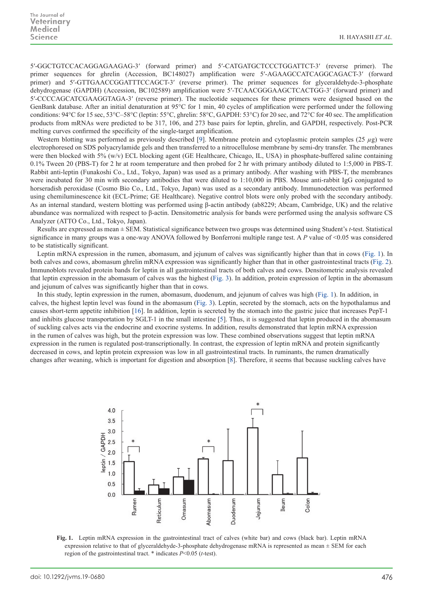5′-GGCTGTCCACAGGAGAAGAG-3′ (forward primer) and 5′-CATGATGCTCCCTGGATTCT-3′ (reverse primer). The primer sequences for ghrelin (Accession, BC148027) amplification were 5′-AGAAGCCATCAGGCAGACT-3′ (forward primer) and 5′-GTTGAACCGGATTTCCAGCT-3′ (reverse primer). The primer sequences for glyceraldehyde-3-phosphate dehydrogenase (GAPDH) (Accession, BC102589) amplification were 5′-TCAACGGGAAGCTCACTGG-3′ (forward primer) and 5′-CCCCAGCATCGAAGGTAGA-3′ (reverse primer). The nucleotide sequences for these primers were designed based on the GenBank database. After an initial denaturation at 95°C for 1 min, 40 cycles of amplification were performed under the following conditions: 94°C for 15 sec, 53°C–58°C (leptin: 55°C, ghrelin: 58°C, GAPDH: 53°C) for 20 sec, and 72°C for 40 sec. The amplification products from mRNAs were predicted to be 317, 106, and 273 base pairs for leptin, ghrelin, and GAPDH, respectively. Post-PCR melting curves confirmed the specificity of the single-target amplification.

Western blotting was performed as previously described [\[9](#page-3-13)]. Membrane protein and cytoplasmic protein samples (25 *µ*g) were electrophoresed on SDS polyacrylamide gels and then transferred to a nitrocellulose membrane by semi-dry transfer. The membranes were then blocked with 5% (w/v) ECL blocking agent (GE Healthcare, Chicago, IL, USA) in phosphate-buffered saline containing 0.1% Tween 20 (PBS-T) for 2 hr at room temperature and then probed for 2 hr with primary antibody diluted to 1:5,000 in PBS-T. Rabbit anti-leptin (Funakoshi Co., Ltd., Tokyo, Japan) was used as a primary antibody. After washing with PBS-T, the membranes were incubated for 30 min with secondary antibodies that were diluted to 1:10,000 in PBS. Mouse anti-rabbit IgG conjugated to horseradish peroxidase (Cosmo Bio Co., Ltd., Tokyo, Japan) was used as a secondary antibody. Immunodetection was performed using chemiluminescence kit (ECL-Prime; GE Healthcare). Negative control blots were only probed with the secondary antibody. As an internal standard, western blotting was performed using β-actin antibody (ab8229; Abcam, Cambridge, UK) and the relative abundance was normalized with respect to β-actin. Densitometric analysis for bands were performed using the analysis software CS Analyzer (ATTO Co., Ltd., Tokyo, Japan).

Results are expressed as mean ± SEM. Statistical significance between two groups was determined using Student's *t*-test. Statistical significance in many groups was a one-way ANOVA followed by Bonferroni multiple range test. A *P* value of <0.05 was considered to be statistically significant.

Leptin mRNA expression in the rumen, abomasum, and jejunum of calves was significantly higher than that in cows (Fig. 1). In both calves and cows, abomasum ghrelin mRNA expression was significantly higher than that in other gastrointestinal tracts (Fig. 2). Immunoblots revealed protein bands for leptin in all gastrointestinal tracts of both calves and cows. Densitometric analysis revealed that leptin expression in the abomasum of calves was the highest (Fig. 3). In addition, protein expression of leptin in the abomasum and jejunum of calves was significantly higher than that in cows.

In this study, leptin expression in the rumen, abomasum, duodenum, and jejunum of calves was high (Fig. 1). In addition, in calves, the highest leptin level was found in the abomasum (Fig. 3). Leptin, secreted by the stomach, acts on the hypothalamus and causes short-term appetite inhibition [[16\]](#page-3-14). In addition, leptin is secreted by the stomach into the gastric juice that increases PepT-1 and inhibits glucose transportation by SGLT-1 in the small intestine [[5](#page-3-6)]. Thus, it is suggested that leptin produced in the abomasum of suckling calves acts via the endocrine and exocrine systems. In addition, results demonstrated that leptin mRNA expression in the rumen of calves was high, but the protein expression was low. These combined observations suggest that leptin mRNA expression in the rumen is regulated post-transcriptionally. In contrast, the expression of leptin mRNA and protein significantly decreased in cows, and leptin protein expression was low in all gastrointestinal tracts. In ruminants, the rumen dramatically changes after weaning, which is important for digestion and absorption [\[8](#page-3-15)]. Therefore, it seems that because suckling calves have



**Fig. 1.** Leptin mRNA expression in the gastrointestinal tract of calves (white bar) and cows (black bar). Leptin mRNA expression relative to that of glyceraldehyde-3-phosphate dehydrogenase mRNA is represented as mean  $\pm$  SEM for each region of the gastrointestinal tract. \* indicates *P*<0.05 (*t*-test).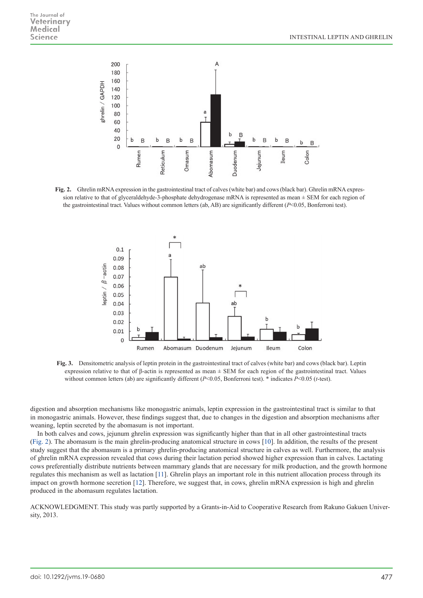

**Fig. 2.** Ghrelin mRNA expression in the gastrointestinal tract of calves (white bar) and cows (black bar). Ghrelin mRNA expression relative to that of glyceraldehyde-3-phosphate dehydrogenase mRNA is represented as mean  $\pm$  SEM for each region of the gastrointestinal tract. Values without common letters (ab, AB) are significantly different (*P*<0.05, Bonferroni test).



**Fig. 3.** Densitometric analysis of leptin protein in the gastrointestinal tract of calves (white bar) and cows (black bar). Leptin expression relative to that of β-actin is represented as mean  $\pm$  SEM for each region of the gastrointestinal tract. Values without common letters (ab) are significantly different (*P*<0.05, Bonferroni test). \* indicates *P*<0.05 (*t*-test).

digestion and absorption mechanisms like monogastric animals, leptin expression in the gastrointestinal tract is similar to that in monogastric animals. However, these findings suggest that, due to changes in the digestion and absorption mechanisms after weaning, leptin secreted by the abomasum is not important.

In both calves and cows, jejunum ghrelin expression was significantly higher than that in all other gastrointestinal tracts (Fig. 2). The abomasum is the main ghrelin-producing anatomical structure in cows [[10](#page-3-12)]. In addition, the results of the present study suggest that the abomasum is a primary ghrelin-producing anatomical structure in calves as well. Furthermore, the analysis of ghrelin mRNA expression revealed that cows during their lactation period showed higher expression than in calves. Lactating cows preferentially distribute nutrients between mammary glands that are necessary for milk production, and the growth hormone regulates this mechanism as well as lactation [[11](#page-3-16)]. Ghrelin plays an important role in this nutrient allocation process through its impact on growth hormone secretion [[12](#page-3-17)]. Therefore, we suggest that, in cows, ghrelin mRNA expression is high and ghrelin produced in the abomasum regulates lactation.

ACKNOWLEDGMENT. This study was partly supported by a Grants-in-Aid to Cooperative Research from Rakuno Gakuen University, 2013.